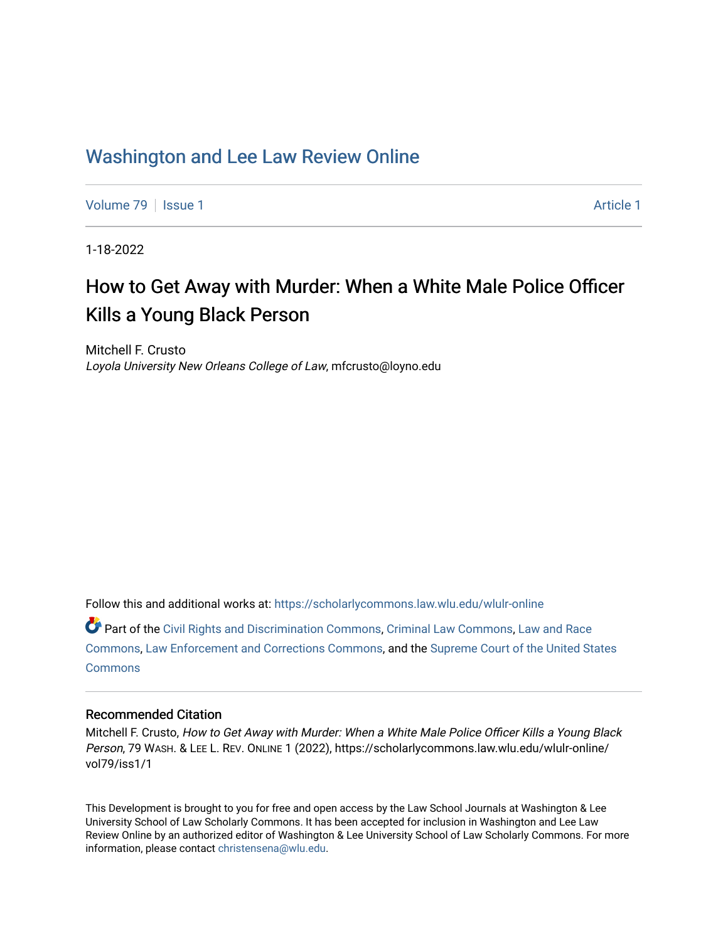# [Washington and Lee Law Review Online](https://scholarlycommons.law.wlu.edu/wlulr-online)

[Volume 79](https://scholarlycommons.law.wlu.edu/wlulr-online/vol79) | [Issue 1](https://scholarlycommons.law.wlu.edu/wlulr-online/vol79/iss1) [Article 1](https://scholarlycommons.law.wlu.edu/wlulr-online/vol79/iss1/1) Article 1 Article 1 Article 1 Article 1 Article 1 Article 1 Article 1

1-18-2022

# How to Get Away with Murder: When a White Male Police Officer Kills a Young Black Person

Mitchell F. Crusto Loyola University New Orleans College of Law, mfcrusto@loyno.edu

Follow this and additional works at: [https://scholarlycommons.law.wlu.edu/wlulr-online](https://scholarlycommons.law.wlu.edu/wlulr-online?utm_source=scholarlycommons.law.wlu.edu%2Fwlulr-online%2Fvol79%2Fiss1%2F1&utm_medium=PDF&utm_campaign=PDFCoverPages) 

Part of the [Civil Rights and Discrimination Commons,](http://network.bepress.com/hgg/discipline/585?utm_source=scholarlycommons.law.wlu.edu%2Fwlulr-online%2Fvol79%2Fiss1%2F1&utm_medium=PDF&utm_campaign=PDFCoverPages) [Criminal Law Commons,](http://network.bepress.com/hgg/discipline/912?utm_source=scholarlycommons.law.wlu.edu%2Fwlulr-online%2Fvol79%2Fiss1%2F1&utm_medium=PDF&utm_campaign=PDFCoverPages) [Law and Race](http://network.bepress.com/hgg/discipline/1300?utm_source=scholarlycommons.law.wlu.edu%2Fwlulr-online%2Fvol79%2Fiss1%2F1&utm_medium=PDF&utm_campaign=PDFCoverPages)  [Commons](http://network.bepress.com/hgg/discipline/1300?utm_source=scholarlycommons.law.wlu.edu%2Fwlulr-online%2Fvol79%2Fiss1%2F1&utm_medium=PDF&utm_campaign=PDFCoverPages), [Law Enforcement and Corrections Commons](http://network.bepress.com/hgg/discipline/854?utm_source=scholarlycommons.law.wlu.edu%2Fwlulr-online%2Fvol79%2Fiss1%2F1&utm_medium=PDF&utm_campaign=PDFCoverPages), and the [Supreme Court of the United States](http://network.bepress.com/hgg/discipline/1350?utm_source=scholarlycommons.law.wlu.edu%2Fwlulr-online%2Fvol79%2Fiss1%2F1&utm_medium=PDF&utm_campaign=PDFCoverPages)  **[Commons](http://network.bepress.com/hgg/discipline/1350?utm_source=scholarlycommons.law.wlu.edu%2Fwlulr-online%2Fvol79%2Fiss1%2F1&utm_medium=PDF&utm_campaign=PDFCoverPages)** 

## Recommended Citation

Mitchell F. Crusto, How to Get Away with Murder: When a White Male Police Officer Kills a Young Black Person, 79 WASH. & LEE L. REV. ONLINE 1 (2022), https://scholarlycommons.law.wlu.edu/wlulr-online/ vol79/iss1/1

This Development is brought to you for free and open access by the Law School Journals at Washington & Lee University School of Law Scholarly Commons. It has been accepted for inclusion in Washington and Lee Law Review Online by an authorized editor of Washington & Lee University School of Law Scholarly Commons. For more information, please contact [christensena@wlu.edu](mailto:christensena@wlu.edu).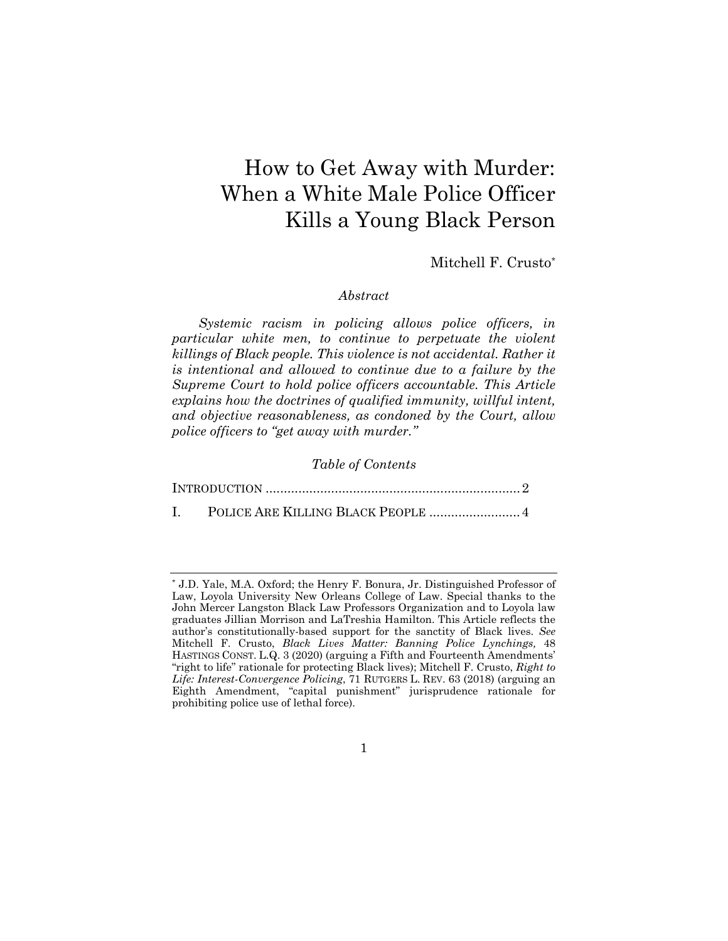# How to Get Away with Murder: When a White Male Police Officer Kills a Young Black Person

Mitchell F. Crusto\*

### *Abstract*

*Systemic racism in policing allows police officers, in particular white men, to continue to perpetuate the violent killings of Black people. This violence is not accidental. Rather it is intentional and allowed to continue due to a failure by the Supreme Court to hold police officers accountable. This Article explains how the doctrines of qualified immunity, willful intent, and objective reasonableness, as condoned by the Court, allow police officers to "get away with murder."* 

### *Table of Contents*

1

<sup>\*</sup> J.D. Yale, M.A. Oxford; the Henry F. Bonura, Jr. Distinguished Professor of Law, Loyola University New Orleans College of Law. Special thanks to the John Mercer Langston Black Law Professors Organization and to Loyola law graduates Jillian Morrison and LaTreshia Hamilton. This Article reflects the author's constitutionally-based support for the sanctity of Black lives. *See* Mitchell F. Crusto, *Black Lives Matter: Banning Police Lynchings,* 48 HASTINGS CONST. L.Q. 3 (2020) (arguing a Fifth and Fourteenth Amendments' "right to life" rationale for protecting Black lives); Mitchell F. Crusto, *Right to Life: Interest-Convergence Policing*, 71 RUTGERS L. REV. 63 (2018) (arguing an Eighth Amendment, "capital punishment" jurisprudence rationale for prohibiting police use of lethal force).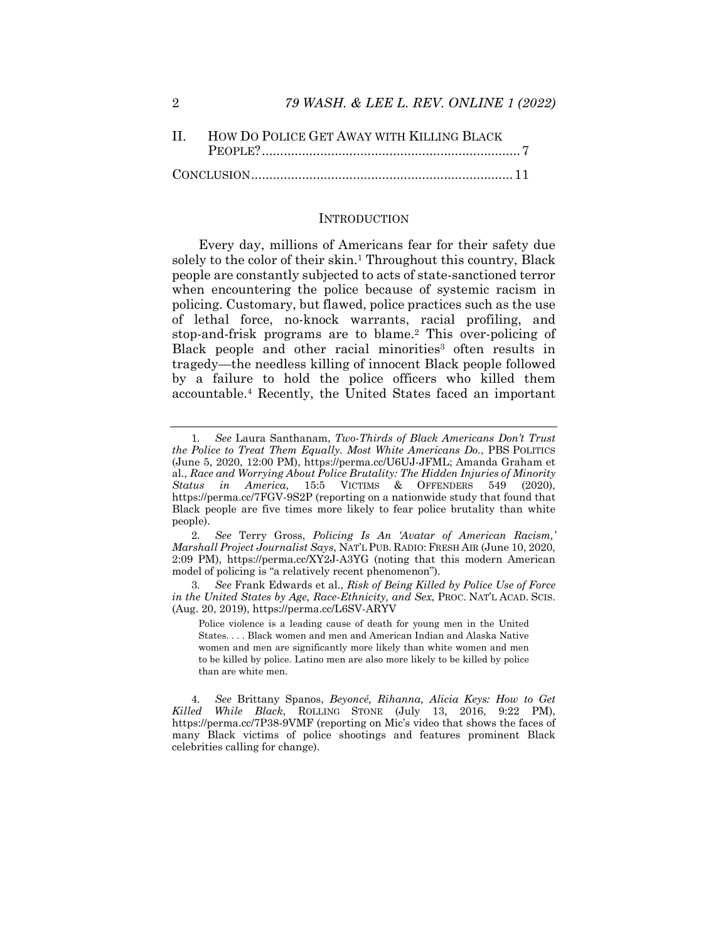| II. HOW DO POLICE GET AWAY WITH KILLING BLACK |  |
|-----------------------------------------------|--|
|                                               |  |
|                                               |  |

#### INTRODUCTION

Every day, millions of Americans fear for their safety due solely to the color of their skin.<sup>1</sup> Throughout this country, Black people are constantly subjected to acts of state-sanctioned terror when encountering the police because of systemic racism in policing. Customary, but flawed, police practices such as the use of lethal force, no-knock warrants, racial profiling, and stop-and-frisk programs are to blame.2 This over-policing of Black people and other racial minorities<sup>3</sup> often results in tragedy—the needless killing of innocent Black people followed by a failure to hold the police officers who killed them accountable.4 Recently, the United States faced an important

2*. See* Terry Gross, *Policing Is An 'Avatar of American Racism,' Marshall Project Journalist Says*, NAT'L PUB. RADIO: FRESH AIR (June 10, 2020, 2:09 PM), https://perma.cc/XY2J-A3YG (noting that this modern American model of policing is "a relatively recent phenomenon").

3*. See* Frank Edwards et al., *Risk of Being Killed by Police Use of Force in the United States by Age, Race-Ethnicity, and Sex*, PROC. NAT'L ACAD. SCIS. (Aug. 20, 2019), https://perma.cc/L6SV-ARYV

Police violence is a leading cause of death for young men in the United States. . . . Black women and men and American Indian and Alaska Native women and men are significantly more likely than white women and men to be killed by police. Latino men are also more likely to be killed by police than are white men.

4*. See* Brittany Spanos, *Beyoncé, Rihanna, Alicia Keys: How to Get Killed While Black*, ROLLING STONE (July 13, 2016, 9:22 PM), https://perma.cc/7P38-9VMF (reporting on Mic's video that shows the faces of many Black victims of police shootings and features prominent Black celebrities calling for change).

<sup>1</sup>*. See* Laura Santhanam, *Two-Thirds of Black Americans Don't Trust the Police to Treat Them Equally. Most White Americans Do.*, PBS POLITICS (June 5, 2020, 12:00 PM), https://perma.cc/U6UJ-JFML; Amanda Graham et al., *Race and Worrying About Police Brutality: The Hidden Injuries of Minority Status in America*, 15:5 VICTIMS & OFFENDERS 549 (2020), https://perma.cc/7FGV-9S2P (reporting on a nationwide study that found that Black people are five times more likely to fear police brutality than white people).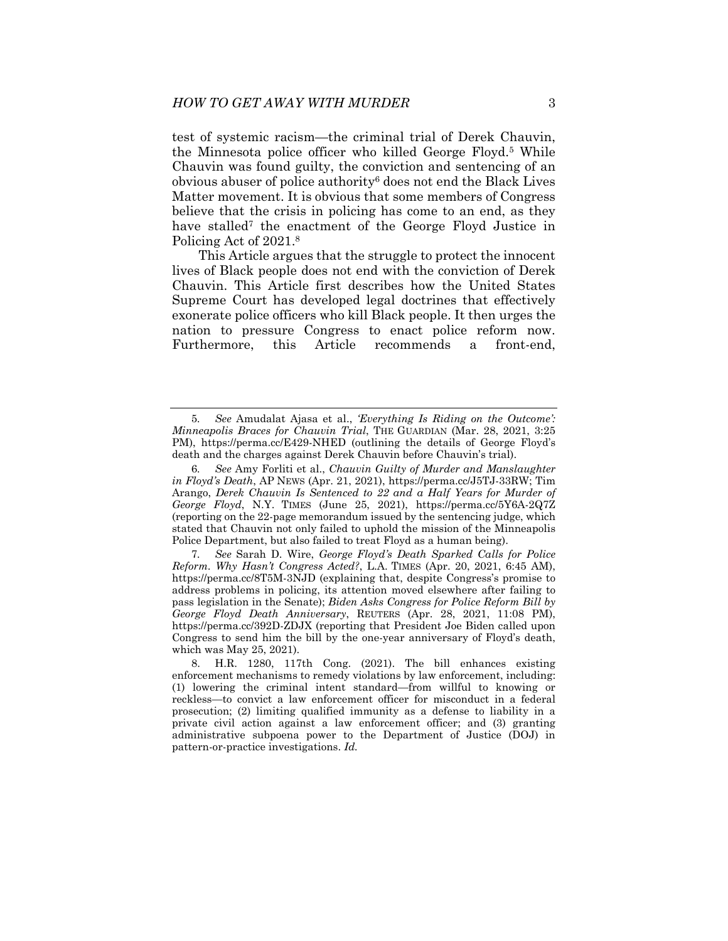test of systemic racism—the criminal trial of Derek Chauvin, the Minnesota police officer who killed George Floyd.<sup>5</sup> While Chauvin was found guilty, the conviction and sentencing of an obvious abuser of police authority6 does not end the Black Lives Matter movement. It is obvious that some members of Congress believe that the crisis in policing has come to an end, as they have stalled<sup>7</sup> the enactment of the George Floyd Justice in Policing Act of 2021.8

This Article argues that the struggle to protect the innocent lives of Black people does not end with the conviction of Derek Chauvin. This Article first describes how the United States Supreme Court has developed legal doctrines that effectively exonerate police officers who kill Black people. It then urges the nation to pressure Congress to enact police reform now. Furthermore, this Article recommends a front-end,

7*. See* Sarah D. Wire, *George Floyd's Death Sparked Calls for Police Reform. Why Hasn't Congress Acted?*, L.A. TIMES (Apr. 20, 2021, 6:45 AM), https://perma.cc/8T5M-3NJD (explaining that, despite Congress's promise to address problems in policing, its attention moved elsewhere after failing to pass legislation in the Senate); *Biden Asks Congress for Police Reform Bill by George Floyd Death Anniversary*, REUTERS (Apr. 28, 2021, 11:08 PM), https://perma.cc/392D-ZDJX (reporting that President Joe Biden called upon Congress to send him the bill by the one-year anniversary of Floyd's death, which was May 25, 2021).

<sup>5</sup>*. See* Amudalat Ajasa et al., *'Everything Is Riding on the Outcome': Minneapolis Braces for Chauvin Trial*, THE GUARDIAN (Mar. 28, 2021, 3:25 PM), https://perma.cc/E429-NHED (outlining the details of George Floyd's death and the charges against Derek Chauvin before Chauvin's trial).

<sup>6</sup>*. See* Amy Forliti et al., *Chauvin Guilty of Murder and Manslaughter in Floyd's Death*, AP NEWS (Apr. 21, 2021), https://perma.cc/J5TJ-33RW; Tim Arango, *Derek Chauvin Is Sentenced to 22 and a Half Years for Murder of George Floyd*, N.Y. TIMES (June 25, 2021), https://perma.cc/5Y6A-2Q7Z (reporting on the 22-page memorandum issued by the sentencing judge, which stated that Chauvin not only failed to uphold the mission of the Minneapolis Police Department, but also failed to treat Floyd as a human being).

 <sup>8.</sup> H.R. 1280, 117th Cong. (2021). The bill enhances existing enforcement mechanisms to remedy violations by law enforcement, including: (1) lowering the criminal intent standard—from willful to knowing or reckless—to convict a law enforcement officer for misconduct in a federal prosecution; (2) limiting qualified immunity as a defense to liability in a private civil action against a law enforcement officer; and (3) granting administrative subpoena power to the Department of Justice (DOJ) in pattern-or-practice investigations. *Id.*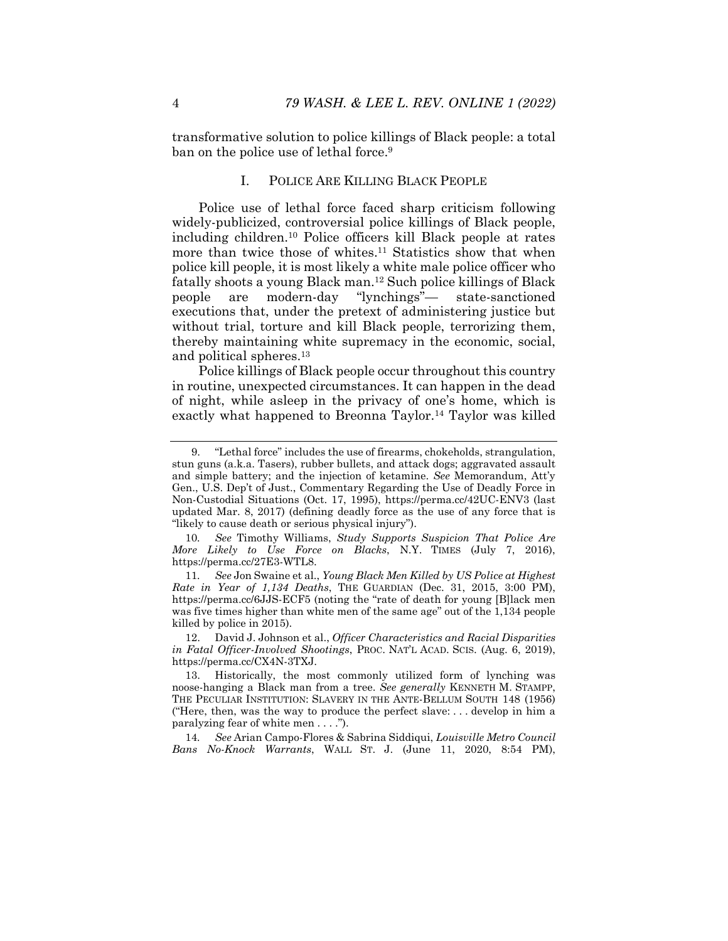transformative solution to police killings of Black people: a total ban on the police use of lethal force.<sup>9</sup>

#### I. POLICE ARE KILLING BLACK PEOPLE

Police use of lethal force faced sharp criticism following widely-publicized, controversial police killings of Black people, including children.10 Police officers kill Black people at rates more than twice those of whites.11 Statistics show that when police kill people, it is most likely a white male police officer who fatally shoots a young Black man.12 Such police killings of Black people are modern-day "lynchings"— state-sanctioned executions that, under the pretext of administering justice but without trial, torture and kill Black people, terrorizing them, thereby maintaining white supremacy in the economic, social, and political spheres.13

Police killings of Black people occur throughout this country in routine, unexpected circumstances. It can happen in the dead of night, while asleep in the privacy of one's home, which is exactly what happened to Breonna Taylor.14 Taylor was killed

10*. See* Timothy Williams, *Study Supports Suspicion That Police Are More Likely to Use Force on Blacks*, N.Y. TIMES (July 7, 2016), https://perma.cc/27E3-WTL8.

11*. See* Jon Swaine et al., *Young Black Men Killed by US Police at Highest Rate in Year of 1,134 Deaths*, THE GUARDIAN (Dec. 31, 2015, 3:00 PM), https://perma.cc/6JJS-ECF5 (noting the "rate of death for young [B]lack men was five times higher than white men of the same age" out of the 1,134 people killed by police in 2015).

 12. David J. Johnson et al., *Officer Characteristics and Racial Disparities in Fatal Officer-Involved Shootings*, PROC. NAT'L ACAD. SCIS. (Aug. 6, 2019), https://perma.cc/CX4N-3TXJ.

14*. See* Arian Campo-Flores & Sabrina Siddiqui, *Louisville Metro Council Bans No-Knock Warrants*, WALL ST. J. (June 11, 2020, 8:54 PM),

 <sup>9. &</sup>quot;Lethal force" includes the use of firearms, chokeholds, strangulation, stun guns (a.k.a. Tasers), rubber bullets, and attack dogs; aggravated assault and simple battery; and the injection of ketamine. *See* Memorandum, Att'y Gen., U.S. Dep't of Just., Commentary Regarding the Use of Deadly Force in Non-Custodial Situations (Oct. 17, 1995), https://perma.cc/42UC-ENV3 (last updated Mar. 8, 2017) (defining deadly force as the use of any force that is "likely to cause death or serious physical injury").

 <sup>13.</sup> Historically, the most commonly utilized form of lynching was noose-hanging a Black man from a tree. *See generally* KENNETH M. STAMPP, THE PECULIAR INSTITUTION: SLAVERY IN THE ANTE-BELLUM SOUTH 148 (1956) ("Here, then, was the way to produce the perfect slave: . . . develop in him a paralyzing fear of white men . . . .").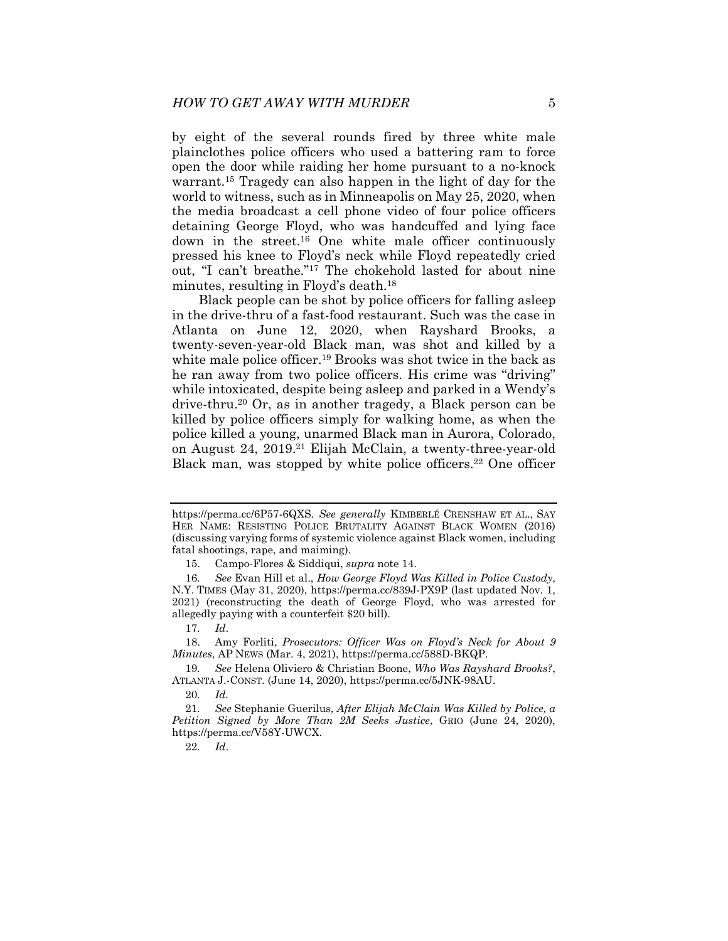by eight of the several rounds fired by three white male plainclothes police officers who used a battering ram to force open the door while raiding her home pursuant to a no-knock warrant.15 Tragedy can also happen in the light of day for the world to witness, such as in Minneapolis on May 25, 2020, when the media broadcast a cell phone video of four police officers detaining George Floyd, who was handcuffed and lying face down in the street.16 One white male officer continuously pressed his knee to Floyd's neck while Floyd repeatedly cried out, "I can't breathe."17 The chokehold lasted for about nine minutes, resulting in Floyd's death.18

Black people can be shot by police officers for falling asleep in the drive-thru of a fast-food restaurant. Such was the case in Atlanta on June 12, 2020, when Rayshard Brooks, a twenty-seven-year-old Black man, was shot and killed by a white male police officer.<sup>19</sup> Brooks was shot twice in the back as he ran away from two police officers. His crime was "driving" while intoxicated, despite being asleep and parked in a Wendy's drive-thru.20 Or, as in another tragedy, a Black person can be killed by police officers simply for walking home, as when the police killed a young, unarmed Black man in Aurora, Colorado, on August 24, 2019.21 Elijah McClain, a twenty-three-year-old Black man, was stopped by white police officers.<sup>22</sup> One officer

https://perma.cc/6P57-6QXS. *See generally* KIMBERLÉ CRENSHAW ET AL., SAY HER NAME: RESISTING POLICE BRUTALITY AGAINST BLACK WOMEN (2016) (discussing varying forms of systemic violence against Black women, including fatal shootings, rape, and maiming).

 <sup>15.</sup> Campo-Flores & Siddiqui, *supra* note 14.

<sup>16</sup>*. See* Evan Hill et al., *How George Floyd Was Killed in Police Custody*, N.Y. TIMES (May 31, 2020), https://perma.cc/839J-PX9P (last updated Nov. 1, 2021) (reconstructing the death of George Floyd, who was arrested for allegedly paying with a counterfeit \$20 bill).

<sup>17</sup>*. Id*.

 <sup>18.</sup> Amy Forliti, *Prosecutors: Officer Was on Floyd's Neck for About 9 Minutes*, AP NEWS (Mar. 4, 2021), https://perma.cc/588D-BKQP.

<sup>19</sup>*. See* Helena Oliviero & Christian Boone, *Who Was Rayshard Brooks?*, ATLANTA J.-CONST. (June 14, 2020), https://perma.cc/5JNK-98AU.

<sup>20</sup>*. Id.*

<sup>21</sup>*. See* Stephanie Guerilus, *After Elijah McClain Was Killed by Police, a Petition Signed by More Than 2M Seeks Justice*, GRIO (June 24, 2020), https://perma.cc/V58Y-UWCX.

<sup>22</sup>*. Id*.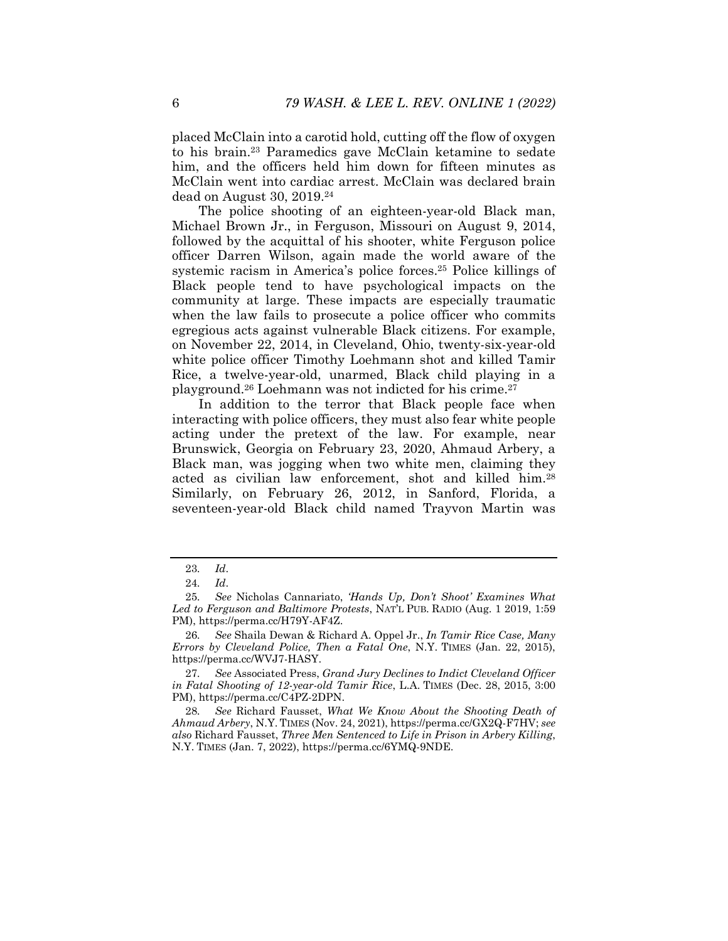placed McClain into a carotid hold, cutting off the flow of oxygen to his brain.23 Paramedics gave McClain ketamine to sedate him, and the officers held him down for fifteen minutes as McClain went into cardiac arrest. McClain was declared brain dead on August 30, 2019.24

The police shooting of an eighteen-year-old Black man, Michael Brown Jr., in Ferguson, Missouri on August 9, 2014, followed by the acquittal of his shooter, white Ferguson police officer Darren Wilson, again made the world aware of the systemic racism in America's police forces.<sup>25</sup> Police killings of Black people tend to have psychological impacts on the community at large. These impacts are especially traumatic when the law fails to prosecute a police officer who commits egregious acts against vulnerable Black citizens. For example, on November 22, 2014, in Cleveland, Ohio, twenty-six-year-old white police officer Timothy Loehmann shot and killed Tamir Rice, a twelve-year-old, unarmed, Black child playing in a playground.26 Loehmann was not indicted for his crime.27

In addition to the terror that Black people face when interacting with police officers, they must also fear white people acting under the pretext of the law. For example, near Brunswick, Georgia on February 23, 2020, Ahmaud Arbery, a Black man, was jogging when two white men, claiming they acted as civilian law enforcement, shot and killed him.28 Similarly, on February 26, 2012, in Sanford, Florida, a seventeen-year-old Black child named Trayvon Martin was

<sup>23</sup>*. Id*.

<sup>24</sup>*. Id*.

<sup>25</sup>*. See* Nicholas Cannariato, *'Hands Up, Don't Shoot' Examines What Led to Ferguson and Baltimore Protests*, NAT'L PUB. RADIO (Aug. 1 2019, 1:59 PM), https://perma.cc/H79Y-AF4Z.

<sup>26</sup>*. See* Shaila Dewan & Richard A. Oppel Jr., *In Tamir Rice Case, Many Errors by Cleveland Police, Then a Fatal One*, N.Y. TIMES (Jan. 22, 2015), https://perma.cc/WVJ7-HASY.

<sup>27</sup>*. See* Associated Press, *Grand Jury Declines to Indict Cleveland Officer in Fatal Shooting of 12-year-old Tamir Rice*, L.A. TIMES (Dec. 28, 2015, 3:00 PM), https://perma.cc/C4PZ-2DPN.

<sup>28</sup>*. See* Richard Fausset, *What We Know About the Shooting Death of Ahmaud Arbery*, N.Y. TIMES (Nov. 24, 2021), https://perma.cc/GX2Q-F7HV; *see also* Richard Fausset, *Three Men Sentenced to Life in Prison in Arbery Killing*, N.Y. TIMES (Jan. 7, 2022), https://perma.cc/6YMQ-9NDE.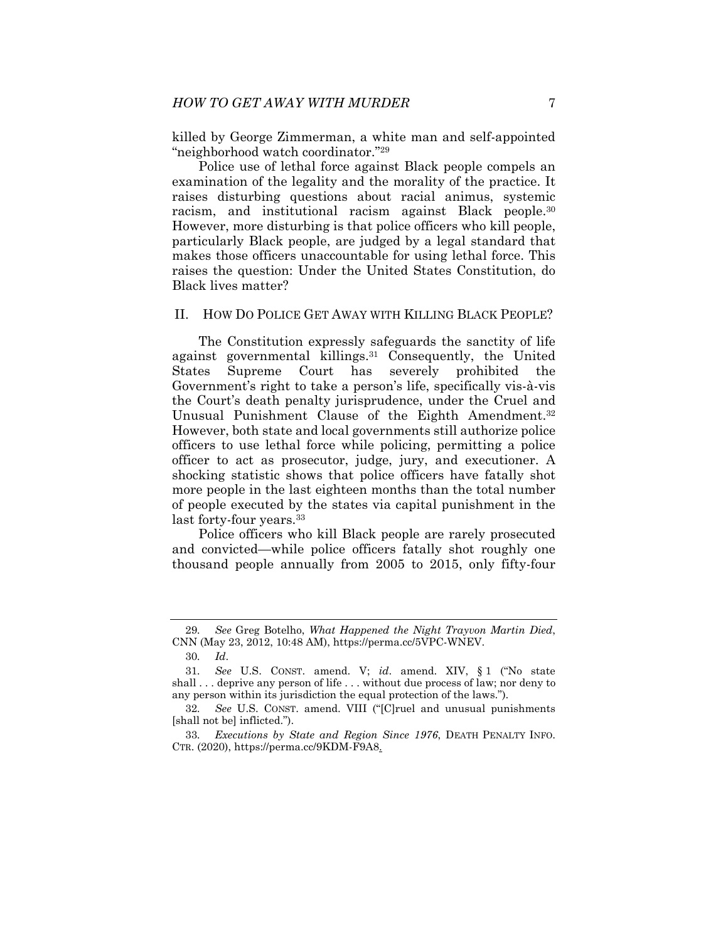killed by George Zimmerman, a white man and self-appointed "neighborhood watch coordinator."29

Police use of lethal force against Black people compels an examination of the legality and the morality of the practice. It raises disturbing questions about racial animus, systemic racism, and institutional racism against Black people.30 However, more disturbing is that police officers who kill people, particularly Black people, are judged by a legal standard that makes those officers unaccountable for using lethal force. This raises the question: Under the United States Constitution, do Black lives matter?

#### II. HOW DO POLICE GET AWAY WITH KILLING BLACK PEOPLE?

The Constitution expressly safeguards the sanctity of life against governmental killings.31 Consequently, the United States Supreme Court has severely prohibited the Government's right to take a person's life, specifically vis-à-vis the Court's death penalty jurisprudence, under the Cruel and Unusual Punishment Clause of the Eighth Amendment.<sup>32</sup> However, both state and local governments still authorize police officers to use lethal force while policing, permitting a police officer to act as prosecutor, judge, jury, and executioner. A shocking statistic shows that police officers have fatally shot more people in the last eighteen months than the total number of people executed by the states via capital punishment in the last forty-four years.<sup>33</sup>

Police officers who kill Black people are rarely prosecuted and convicted—while police officers fatally shot roughly one thousand people annually from 2005 to 2015, only fifty-four

<sup>29</sup>*. See* Greg Botelho, *What Happened the Night Trayvon Martin Died*, CNN (May 23, 2012, 10:48 AM), https://perma.cc/5VPC-WNEV.

<sup>30</sup>*. Id*.

<sup>31</sup>*. See* U.S. CONST. amend. V; *id*. amend. XIV, § 1 ("No state shall . . . deprive any person of life . . . without due process of law; nor deny to any person within its jurisdiction the equal protection of the laws.").

<sup>32</sup>*. See* U.S. CONST. amend. VIII ("[C]ruel and unusual punishments [shall not be] inflicted.").

<sup>33</sup>*. Executions by State and Region Since 1976*, DEATH PENALTY INFO. CTR. (2020), https://perma.cc/9KDM-F9A8.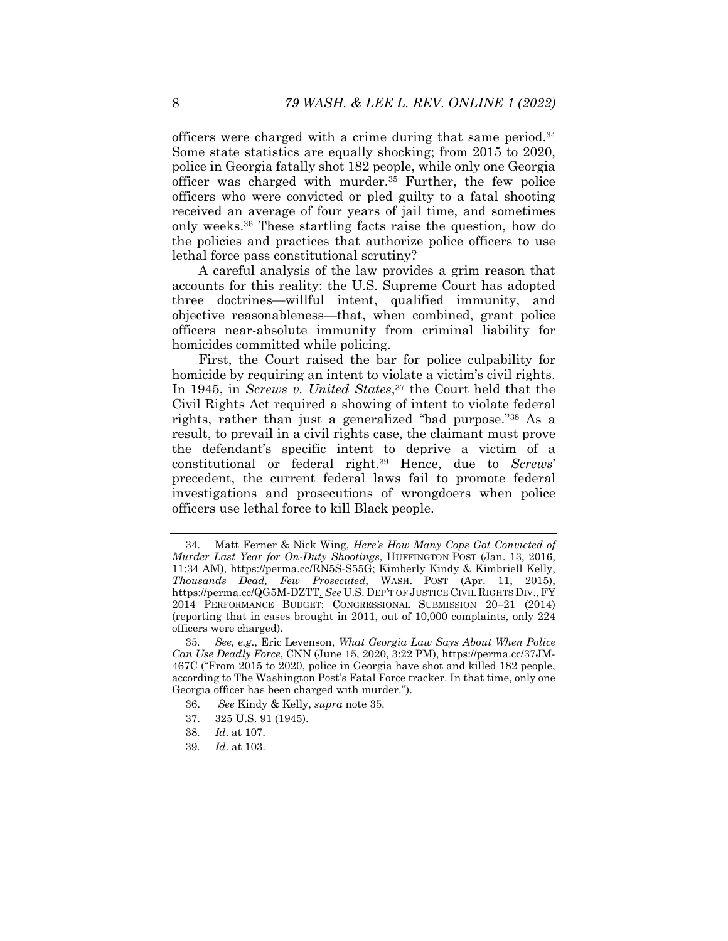officers were charged with a crime during that same period.34 Some state statistics are equally shocking; from 2015 to 2020, police in Georgia fatally shot 182 people, while only one Georgia officer was charged with murder.35 Further, the few police officers who were convicted or pled guilty to a fatal shooting received an average of four years of jail time, and sometimes only weeks.36 These startling facts raise the question, how do the policies and practices that authorize police officers to use lethal force pass constitutional scrutiny?

A careful analysis of the law provides a grim reason that accounts for this reality: the U.S. Supreme Court has adopted three doctrines—willful intent, qualified immunity, and objective reasonableness—that, when combined, grant police officers near-absolute immunity from criminal liability for homicides committed while policing.

First, the Court raised the bar for police culpability for homicide by requiring an intent to violate a victim's civil rights. In 1945, in *Screws v. United States*,<sup>37</sup> the Court held that the Civil Rights Act required a showing of intent to violate federal rights, rather than just a generalized "bad purpose."38 As a result, to prevail in a civil rights case, the claimant must prove the defendant's specific intent to deprive a victim of a constitutional or federal right.39 Hence, due to *Screws*' precedent, the current federal laws fail to promote federal investigations and prosecutions of wrongdoers when police officers use lethal force to kill Black people.

- 37. 325 U.S. 91 (1945).
- 38*. Id*. at 107.
- 39*. Id*. at 103.

 <sup>34.</sup> Matt Ferner & Nick Wing, *Here's How Many Cops Got Convicted of Murder Last Year for On-Duty Shootings*, HUFFINGTON POST (Jan. 13, 2016, 11:34 AM), https://perma.cc/RN5S-S55G; Kimberly Kindy & Kimbriell Kelly, *Thousands Dead, Few Prosecuted*, WASH. POST (Apr. 11, 2015), https://perma.cc/QG5M-DZTT. *See* U.S. DEP'T OF JUSTICE CIVIL RIGHTS DIV., FY 2014 PERFORMANCE BUDGET: CONGRESSIONAL SUBMISSION 20–21 (2014) (reporting that in cases brought in 2011, out of 10,000 complaints, only 224 officers were charged).

<sup>35</sup>*. See, e.g*., Eric Levenson, *What Georgia Law Says About When Police Can Use Deadly Force*, CNN (June 15, 2020, 3:22 PM), https://perma.cc/37JM-467C ("From 2015 to 2020, police in Georgia have shot and killed 182 people, according to The Washington Post's Fatal Force tracker. In that time, only one Georgia officer has been charged with murder.").

 <sup>36.</sup> *See* Kindy & Kelly, *supra* note 35.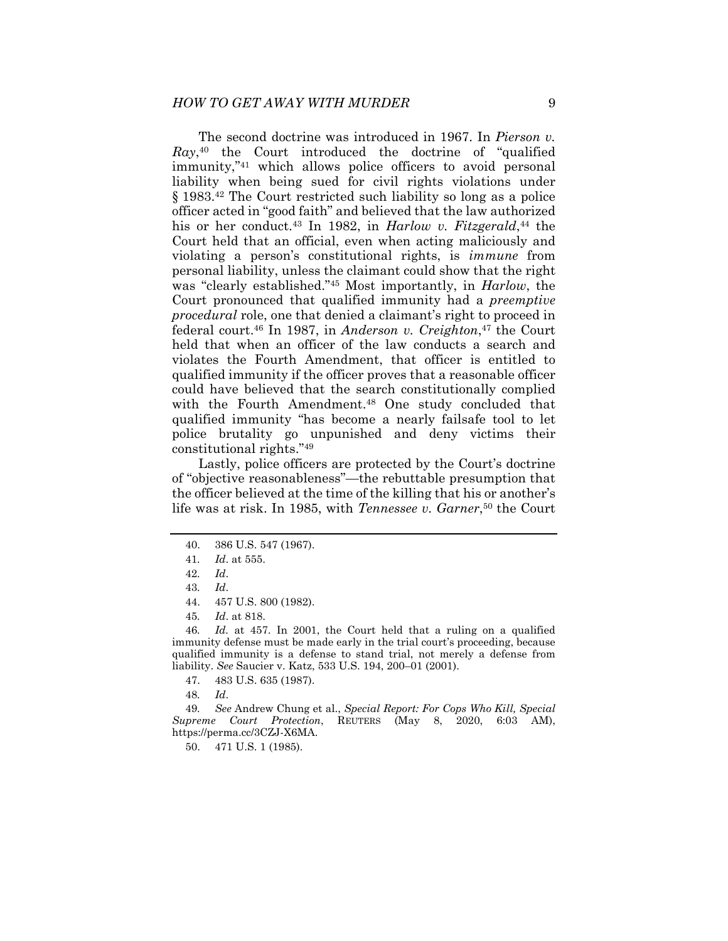The second doctrine was introduced in 1967. In *Pierson v.*   $Ray<sub>40</sub>$  the Court introduced the doctrine of "qualified" immunity,"41 which allows police officers to avoid personal liability when being sued for civil rights violations under § 1983.42 The Court restricted such liability so long as a police officer acted in "good faith" and believed that the law authorized his or her conduct.<sup>43</sup> In 1982, in *Harlow v. Fitzgerald*,<sup>44</sup> the Court held that an official, even when acting maliciously and violating a person's constitutional rights, is *immune* from personal liability, unless the claimant could show that the right was "clearly established."45 Most importantly, in *Harlow*, the Court pronounced that qualified immunity had a *preemptive procedural* role, one that denied a claimant's right to proceed in federal court.46 In 1987, in *Anderson v. Creighton*,47 the Court held that when an officer of the law conducts a search and violates the Fourth Amendment, that officer is entitled to qualified immunity if the officer proves that a reasonable officer could have believed that the search constitutionally complied with the Fourth Amendment.<sup>48</sup> One study concluded that qualified immunity "has become a nearly failsafe tool to let police brutality go unpunished and deny victims their constitutional rights."49

Lastly, police officers are protected by the Court's doctrine of "objective reasonableness"—the rebuttable presumption that the officer believed at the time of the killing that his or another's life was at risk. In 1985, with *Tennessee v. Garner*,50 the Court

46*. Id.* at 457. In 2001, the Court held that a ruling on a qualified immunity defense must be made early in the trial court's proceeding, because qualified immunity is a defense to stand trial, not merely a defense from liability. *See* Saucier v. Katz, 533 U.S. 194, 200–01 (2001).

- 47. 483 U.S. 635 (1987).
- 48*. Id*.

49*. See* Andrew Chung et al., *Special Report: For Cops Who Kill, Special Supreme Court Protection*, REUTERS (May 8, 2020, 6:03 AM), https://perma.cc/3CZJ-X6MA.

50. 471 U.S. 1 (1985).

 <sup>40. 386</sup> U.S. 547 (1967).

<sup>41</sup>*. Id*. at 555.

<sup>42</sup>*. Id*.

<sup>43</sup>*. Id*.

 <sup>44. 457</sup> U.S. 800 (1982).

<sup>45</sup>*. Id*. at 818.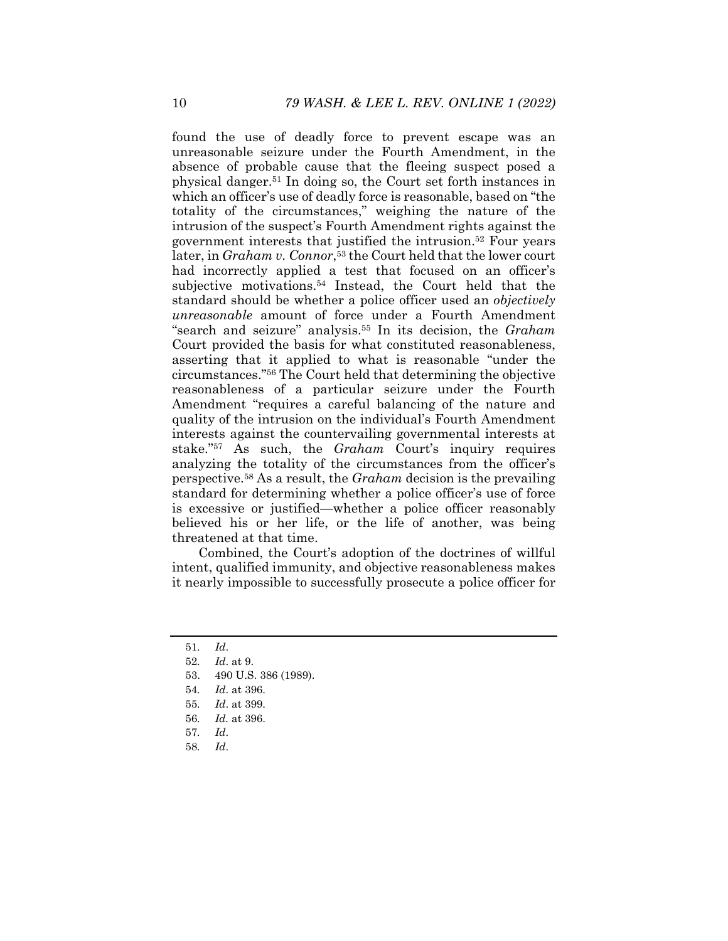found the use of deadly force to prevent escape was an unreasonable seizure under the Fourth Amendment, in the absence of probable cause that the fleeing suspect posed a physical danger.51 In doing so, the Court set forth instances in which an officer's use of deadly force is reasonable, based on "the totality of the circumstances," weighing the nature of the intrusion of the suspect's Fourth Amendment rights against the government interests that justified the intrusion.52 Four years later, in *Graham v. Connor*,<sup>53</sup> the Court held that the lower court had incorrectly applied a test that focused on an officer's subjective motivations.54 Instead, the Court held that the standard should be whether a police officer used an *objectively unreasonable* amount of force under a Fourth Amendment "search and seizure" analysis.55 In its decision, the *Graham* Court provided the basis for what constituted reasonableness, asserting that it applied to what is reasonable "under the circumstances."56 The Court held that determining the objective reasonableness of a particular seizure under the Fourth Amendment "requires a careful balancing of the nature and quality of the intrusion on the individual's Fourth Amendment interests against the countervailing governmental interests at stake."57 As such, the *Graham* Court's inquiry requires analyzing the totality of the circumstances from the officer's perspective.58 As a result, the *Graham* decision is the prevailing standard for determining whether a police officer's use of force is excessive or justified—whether a police officer reasonably believed his or her life, or the life of another, was being threatened at that time.

Combined, the Court's adoption of the doctrines of willful intent, qualified immunity, and objective reasonableness makes it nearly impossible to successfully prosecute a police officer for

58*. Id*.

<sup>51</sup>*. Id*.

<sup>52</sup>*. Id*. at 9.

 <sup>53. 490</sup> U.S. 386 (1989).

<sup>54</sup>*. Id*. at 396.

<sup>55</sup>*. Id*. at 399.

<sup>56</sup>*. Id.* at 396.

<sup>57</sup>*. Id*.